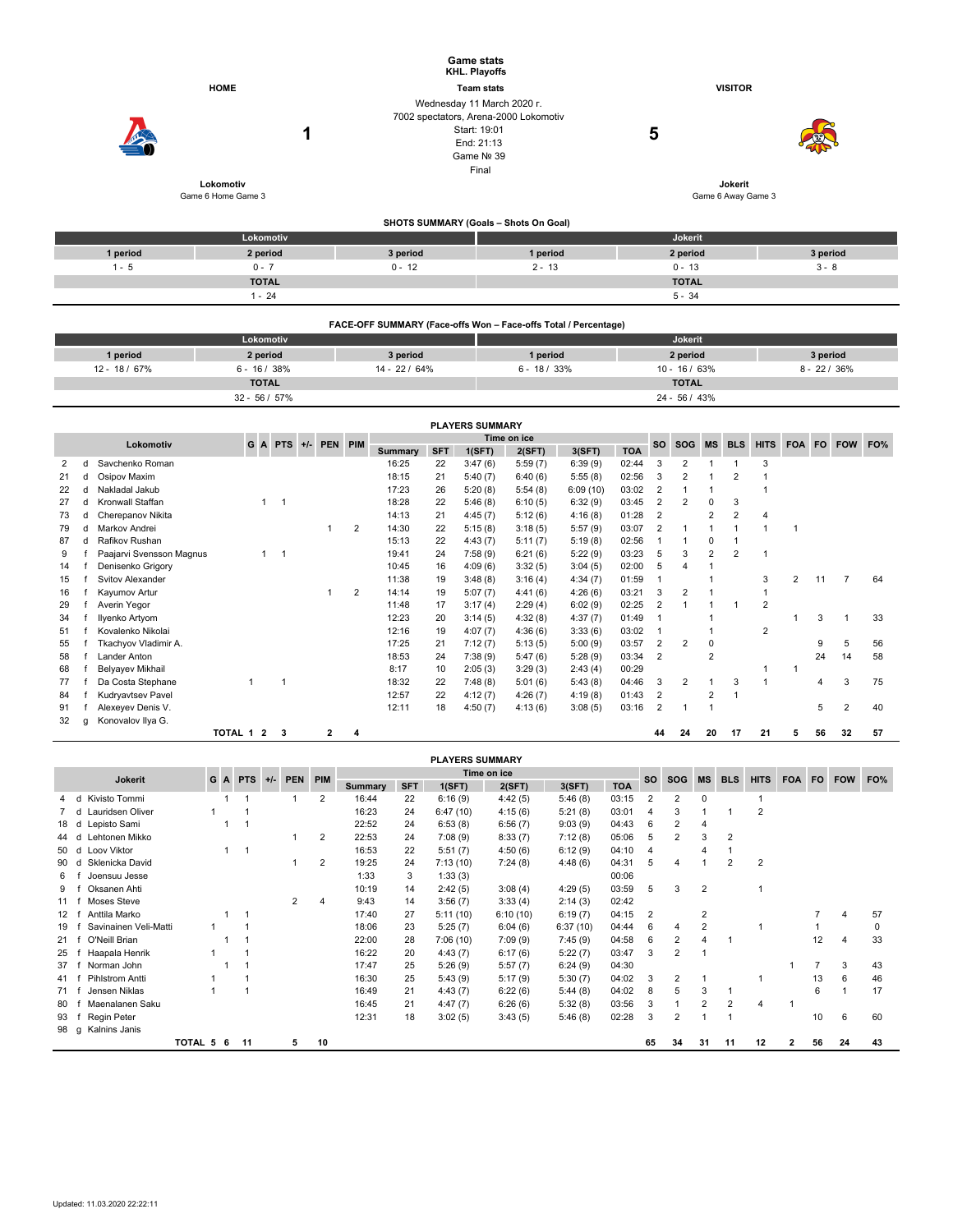|                                                                 |                                 |               | <b>Game stats</b><br>KHL. Playoffs                                                                                       |                 |                 |  |  |  |  |  |  |  |  |
|-----------------------------------------------------------------|---------------------------------|---------------|--------------------------------------------------------------------------------------------------------------------------|-----------------|-----------------|--|--|--|--|--|--|--|--|
|                                                                 | <b>HOME</b>                     |               | <b>Team stats</b>                                                                                                        | <b>VISITOR</b>  |                 |  |  |  |  |  |  |  |  |
|                                                                 | 1                               |               | Wednesday 11 March 2020 r.<br>7002 spectators, Arena-2000 Lokomotiv<br>Start: 19:01<br>End: 21:13<br>Game Nº 39<br>Final | 5               |                 |  |  |  |  |  |  |  |  |
|                                                                 | Lokomotiv<br>Game 6 Home Game 3 |               | Game 6 Away Game 3                                                                                                       |                 |                 |  |  |  |  |  |  |  |  |
|                                                                 |                                 |               | SHOTS SUMMARY (Goals - Shots On Goal)                                                                                    |                 |                 |  |  |  |  |  |  |  |  |
|                                                                 | Lokomotiv                       |               |                                                                                                                          | Jokerit         |                 |  |  |  |  |  |  |  |  |
| 1 period                                                        | 2 period                        | 3 period      | 1 period                                                                                                                 | 2 period        | 3 period        |  |  |  |  |  |  |  |  |
| $1 - 5$                                                         | $0 - 7$                         | $0 - 12$      | $2 - 13$                                                                                                                 | $0 - 13$        | $3 - 8$         |  |  |  |  |  |  |  |  |
|                                                                 | <b>TOTAL</b>                    |               |                                                                                                                          | <b>TOTAL</b>    |                 |  |  |  |  |  |  |  |  |
|                                                                 | $1 - 24$                        |               |                                                                                                                          | $5 - 34$        |                 |  |  |  |  |  |  |  |  |
| FACE-OFF SUMMARY (Face-offs Won - Face-offs Total / Percentage) |                                 |               |                                                                                                                          |                 |                 |  |  |  |  |  |  |  |  |
|                                                                 | Lokomotiv                       |               |                                                                                                                          | Jokerit         |                 |  |  |  |  |  |  |  |  |
| 1 period                                                        | 2 period                        | 3 period      | 1 period                                                                                                                 | 2 period        | 3 period        |  |  |  |  |  |  |  |  |
| 12 - 18 / 67%                                                   | $6 - 16 / 38%$                  | 14 - 22 / 64% | $6 - 18 / 33%$                                                                                                           | $10 - 16 / 63%$ | $8 - 22 / 36\%$ |  |  |  |  |  |  |  |  |
|                                                                 | <b>TOTAL</b>                    |               |                                                                                                                          | <b>TOTAL</b>    |                 |  |  |  |  |  |  |  |  |

32 - 56 / 57% 24 - 56 / 43%

|           |   |                          |  |              |                |         |                |            |        | <b>PLAYERS SUMMARY</b> |             |            |           |                |                |                |                |                |   |                |                |    |
|-----------|---|--------------------------|--|--------------|----------------|---------|----------------|------------|--------|------------------------|-------------|------------|-----------|----------------|----------------|----------------|----------------|----------------|---|----------------|----------------|----|
|           |   |                          |  |              |                |         |                |            |        |                        | Time on ice |            |           |                |                |                |                |                |   |                |                |    |
| Lokomotiv |   | G                        |  | A PTS        | $+/-$          | PEN PIM | <b>Summary</b> | <b>SFT</b> | 1(SFT) | 2(SFT)                 | 3(SFT)      | <b>TOA</b> | <b>SO</b> | <b>SOG</b>     | <b>MS</b>      | <b>BLS</b>     | <b>HITS</b>    | FOA FO         |   | <b>FOW</b>     | FO%            |    |
| 2         | d | Savchenko Roman          |  |              |                |         |                | 16:25      | 22     | 3:47(6)                | 5:59(7)     | 6:39(9)    | 02:44     | 3              | 2              |                |                | 3              |   |                |                |    |
| 21        | d | Osipov Maxim             |  |              |                |         |                | 18:15      | 21     | 5:40(7)                | 6:40(6)     | 5:55(8)    | 02:56     | 3              | $\overline{2}$ |                | $\overline{2}$ |                |   |                |                |    |
| 22        |   | Nakladal Jakub           |  |              |                |         |                | 17:23      | 26     | 5:20(8)                | 5:54(8)     | 6:09(10)   | 03:02     | $\overline{2}$ |                |                |                |                |   |                |                |    |
| 27        |   | d Kronwall Staffan       |  | 1            | $\overline{1}$ |         |                | 18:28      | 22     | 5:46(8)                | 6:10(5)     | 6:32(9)    | 03:45     | 2              | $\overline{2}$ | $\Omega$       | 3              |                |   |                |                |    |
| 73        | d | Cherepanov Nikita        |  |              |                |         |                | 14:13      | 21     | 4:45(7)                | 5:12(6)     | 4:16(8)    | 01:28     | $\overline{2}$ |                | 2              | $\overline{2}$ | 4              |   |                |                |    |
| 79        | d | Markov Andrei            |  |              |                |         | $\overline{2}$ | 14:30      | 22     | 5:15(8)                | 3:18(5)     | 5:57(9)    | 03:07     | 2              |                |                |                |                |   |                |                |    |
| 87        | d | Rafikov Rushan           |  |              |                |         |                | 15:13      | 22     | 4:43(7)                | 5:11(7)     | 5:19(8)    | 02:56     |                |                | $\Omega$       |                |                |   |                |                |    |
| 9         |   | Paajarvi Svensson Magnus |  | $\mathbf{1}$ | $\overline{1}$ |         |                | 19:41      | 24     | 7:58(9)                | 6:21(6)     | 5:22(9)    | 03:23     | 5              | 3              | 2              | $\overline{2}$ | 1              |   |                |                |    |
| 14        |   | Denisenko Grigory        |  |              |                |         |                | 10:45      | 16     | 4:09(6)                | 3:32(5)     | 3:04(5)    | 02:00     | 5              | 4              |                |                |                |   |                |                |    |
| 15        |   | Svitov Alexander         |  |              |                |         |                | 11:38      | 19     | 3:48(8)                | 3:16(4)     | 4:34(7)    | 01:59     | 1              |                |                |                | 3              | 2 | 11             | $\overline{7}$ | 64 |
| 16        |   | Kayumov Artur            |  |              |                |         | $\overline{2}$ | 14:14      | 19     | 5:07(7)                | 4:41(6)     | 4:26(6)    | 03:21     | 3              | $\overline{2}$ |                |                |                |   |                |                |    |
| 29        |   | Averin Yegor             |  |              |                |         |                | 11:48      | 17     | 3:17(4)                | 2:29(4)     | 6:02(9)    | 02:25     | 2              |                |                |                | $\overline{2}$ |   |                |                |    |
| 34        |   | Ilyenko Artyom           |  |              |                |         |                | 12:23      | 20     | 3:14(5)                | 4:32(8)     | 4:37(7)    | 01:49     |                |                |                |                |                |   | 3              |                | 33 |
| 51        |   | Kovalenko Nikolai        |  |              |                |         |                | 12:16      | 19     | 4:07(7)                | 4:36(6)     | 3:33(6)    | 03:02     | 1              |                |                |                | $\overline{2}$ |   |                |                |    |
| 55        |   | Tkachyov Vladimir A.     |  |              |                |         |                | 17:25      | 21     | 7:12(7)                | 5:13(5)     | 5:00(9)    | 03:57     | 2              | 2              | 0              |                |                |   | 9              | 5              | 56 |
| 58        |   | Lander Anton             |  |              |                |         |                | 18:53      | 24     | 7:38(9)                | 5:47(6)     | 5:28(9)    | 03:34     | $\overline{2}$ |                | $\overline{2}$ |                |                |   | 24             | 14             | 58 |
| 68        |   | Belyayev Mikhail         |  |              |                |         |                | 8:17       | 10     | 2:05(3)                | 3:29(3)     | 2:43(4)    | 00:29     |                |                |                |                |                |   |                |                |    |
| 77        |   | Da Costa Stephane        |  |              |                |         |                | 18:32      | 22     | 7:48(8)                | 5:01(6)     | 5:43(8)    | 04:46     | 3              | $\overline{2}$ |                | 3              |                |   | $\overline{4}$ | 3              | 75 |
| 84        |   | Kudryavtsev Pavel        |  |              |                |         |                | 12:57      | 22     | 4:12(7)                | 4:26(7)     | 4:19(8)    | 01:43     | $\overline{2}$ |                | $\overline{2}$ |                |                |   |                |                |    |
| 91        |   | Alexeyev Denis V.        |  |              |                |         |                | 12:11      | 18     | 4:50(7)                | 4:13(6)     | 3:08(5)    | 03:16     | 2              |                |                |                |                |   | 5              | $\overline{2}$ | 40 |
| 32        | g | Konovalov Ilya G.        |  |              |                |         |                |            |        |                        |             |            |           |                |                |                |                |                |   |                |                |    |

|                                                            |                       |           |  |  |    |     |                |                |            |        | <b>PLAYERS SUMMARY</b> |          |            |            |                |                |             |                |           |            |     |    |    |
|------------------------------------------------------------|-----------------------|-----------|--|--|----|-----|----------------|----------------|------------|--------|------------------------|----------|------------|------------|----------------|----------------|-------------|----------------|-----------|------------|-----|----|----|
| <b>PTS</b><br>G A<br>$+/-$<br><b>PEN</b><br><b>Jokerit</b> |                       |           |  |  |    | PIM | Time on ice    |                |            |        |                        |          |            | <b>SOG</b> | <b>MS</b>      | <b>BLS</b>     | <b>HITS</b> | <b>FOA</b>     | <b>FO</b> | <b>FOW</b> | FO% |    |    |
|                                                            |                       |           |  |  |    |     |                | <b>Summary</b> | <b>SFT</b> | 1(SFT) | 2(SFT)                 | 3(SFT)   | <b>TOA</b> | <b>SO</b>  |                |                |             |                |           |            |     |    |    |
|                                                            | Kivisto Tommi<br>h    |           |  |  |    |     |                | 2              | 16:44      | 22     | 6:16(9)                | 4:42(5)  | 5:46(8)    | 03:15      | 2              | $\overline{2}$ | 0           |                |           |            |     |    |    |
|                                                            | Lauridsen Oliver      |           |  |  |    |     |                |                | 16:23      | 24     | 6:47(10)               | 4:15(6)  | 5:21(8)    | 03:01      | 4              | 3              |             |                | 2         |            |     |    |    |
| 18 d                                                       | Lepisto Sami          |           |  |  |    |     |                |                | 22:52      | 24     | 6:53(8)                | 6:56(7)  | 9:03(9)    | 04:43      | 6              | $\overline{2}$ | 4           |                |           |            |     |    |    |
| 44 d                                                       | Lehtonen Mikko        |           |  |  |    |     |                | 2              | 22:53      | 24     | 7:08(9)                | 8:33(7)  | 7:12(8)    | 05:06      | 5              | $\overline{2}$ | 3           | 2              |           |            |     |    |    |
| 50                                                         | Loov Viktor<br>d      |           |  |  |    |     |                |                | 16:53      | 22     | 5:51(7)                | 4:50(6)  | 6:12(9)    | 04:10      | 4              |                | 4           |                |           |            |     |    |    |
| 90                                                         | Sklenicka David<br>d  |           |  |  |    |     |                | $\overline{2}$ | 19:25      | 24     | 7:13(10)               | 7:24(8)  | 4:48(6)    | 04:31      | 5              | 4              |             | $\overline{2}$ | 2         |            |     |    |    |
| 6                                                          | Joensuu Jesse         |           |  |  |    |     |                |                | 1:33       | 3      | 1:33(3)                |          |            | 00:06      |                |                |             |                |           |            |     |    |    |
| 9                                                          | Oksanen Ahti          |           |  |  |    |     |                |                | 10:19      | 14     | 2:42(5)                | 3:08(4)  | 4:29(5)    | 03:59      | 5              | 3              | 2           |                |           |            |     |    |    |
| 11 1                                                       | Moses Steve           |           |  |  |    |     | $\overline{2}$ | 4              | 9:43       | 14     | 3:56(7)                | 3:33(4)  | 2:14(3)    | 02:42      |                |                |             |                |           |            |     |    |    |
| 12                                                         | Anttila Marko         |           |  |  |    |     |                |                | 17:40      | 27     | 5:11(10)               | 6:10(10) | 6:19(7)    | 04:15      | $\overline{2}$ |                | 2           |                |           |            |     |    | 57 |
| 19                                                         | Savinainen Veli-Matti |           |  |  |    |     |                |                | 18:06      | 23     | 5:25(7)                | 6:04(6)  | 6:37(10)   | 04:44      | 6              | 4              | 2           |                |           |            |     |    | 0  |
| 21                                                         | O'Neill Brian         |           |  |  |    |     |                |                | 22:00      | 28     | 7:06(10)               | 7:09(9)  | 7:45(9)    | 04:58      | 6              | $\overline{2}$ | 4           | -1             |           |            | 12  |    | 33 |
| 25                                                         | Haapala Henrik        |           |  |  |    |     |                |                | 16:22      | 20     | 4:43(7)                | 6:17(6)  | 5:22(7)    | 03:47      | 3              | $\overline{2}$ |             |                |           |            |     |    |    |
| 37                                                         | Norman John           |           |  |  |    |     |                |                | 17:47      | 25     | 5:26(9)                | 5:57(7)  | 6:24(9)    | 04:30      |                |                |             |                |           |            |     | 3  | 43 |
| 41 1                                                       | Pihlstrom Antti       |           |  |  |    |     |                |                | 16:30      | 25     | 5:43(9)                | 5:17(9)  | 5:30(7)    | 04:02      | 3              | $\overline{2}$ |             |                |           |            | 13  |    | 46 |
| 71 ·                                                       | Jensen Niklas         |           |  |  |    |     |                |                | 16:49      | 21     | 4:43(7)                | 6:22(6)  | 5:44(8)    | 04:02      | 8              | 5              | 3           |                |           |            | 6   |    | 17 |
| 80                                                         | Maenalanen Saku       |           |  |  |    |     |                |                | 16:45      | 21     | 4:47(7)                | 6:26(6)  | 5:32(8)    | 03:56      | 3              |                | 2           | 2              | 4         |            |     |    |    |
| 93                                                         | Regin Peter           |           |  |  |    |     |                |                | 12:31      | 18     | 3:02(5)                | 3:43(5)  | 5:46(8)    | 02:28      | 3              | 2              |             |                |           |            | 10  | 6  | 60 |
| 98 g                                                       | Kalnins Janis         |           |  |  |    |     |                |                |            |        |                        |          |            |            |                |                |             |                |           |            |     |    |    |
|                                                            |                       | TOTAL 5 6 |  |  | 11 |     | 5              | 10             |            |        |                        |          |            |            | 65             | 34             | 31          | 11             | 12        | 2          | 56  | 24 | 43 |

**TOTAL 1 2 3 2 4 44 24 20 17 21 5 56 32 57**